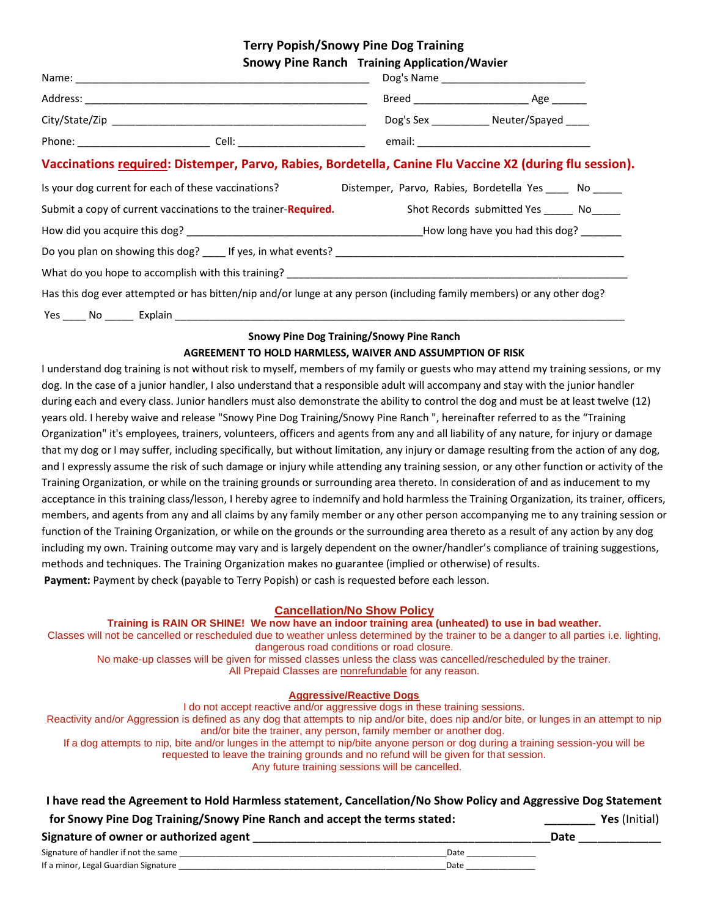**Terry Popish/Snowy Pine Dog Training**

|                                                                                                                       | <b>Snowy Pine Ranch Training Application/Wavier</b> |                                               |
|-----------------------------------------------------------------------------------------------------------------------|-----------------------------------------------------|-----------------------------------------------|
|                                                                                                                       |                                                     |                                               |
|                                                                                                                       |                                                     |                                               |
|                                                                                                                       |                                                     | Dog's Sex ______________ Neuter/Spayed _____  |
|                                                                                                                       |                                                     |                                               |
| Vaccinations required: Distemper, Parvo, Rabies, Bordetella, Canine Flu Vaccine X2 (during flu session).              |                                                     |                                               |
| Is your dog current for each of these vaccinations? Distemper, Parvo, Rabies, Bordetella Yes ____ No ____             |                                                     |                                               |
| Submit a copy of current vaccinations to the trainer- <b>Required.</b>                                                |                                                     | Shot Records submitted Yes ________ No_______ |
|                                                                                                                       |                                                     |                                               |
|                                                                                                                       |                                                     |                                               |
|                                                                                                                       |                                                     |                                               |
| Has this dog ever attempted or has bitten/nip and/or lunge at any person (including family members) or any other dog? |                                                     |                                               |
| Yes No Explain                                                                                                        |                                                     |                                               |

#### **Snowy Pine Dog Training/Snowy Pine Ranch AGREEMENT TO HOLD HARMLESS, WAIVER AND ASSUMPTION OF RISK**

I understand dog training is not without risk to myself, members of my family or guests who may attend my training sessions, or my dog. In the case of a junior handler, I also understand that a responsible adult will accompany and stay with the junior handler during each and every class. Junior handlers must also demonstrate the ability to control the dog and must be at least twelve (12) years old. I hereby waive and release "Snowy Pine Dog Training/Snowy Pine Ranch ", hereinafter referred to as the "Training Organization" it's employees, trainers, volunteers, officers and agents from any and all liability of any nature, for injury or damage that my dog or I may suffer, including specifically, but without limitation, any injury or damage resulting from the action of any dog, and I expressly assume the risk of such damage or injury while attending any training session, or any other function or activity of the Training Organization, or while on the training grounds or surrounding area thereto. In consideration of and as inducement to my acceptance in this training class/lesson, I hereby agree to indemnify and hold harmless the Training Organization, its trainer, officers, members, and agents from any and all claims by any family member or any other person accompanying me to any training session or function of the Training Organization, or while on the grounds or the surrounding area thereto as a result of any action by any dog including my own. Training outcome may vary and is largely dependent on the owner/handler's compliance of training suggestions, methods and techniques. The Training Organization makes no guarantee (implied or otherwise) of results. **Payment:** Payment by check (payable to Terry Popish) or cash is requested before each lesson.

#### **Cancellation/No Show Policy**

**Training is RAIN OR SHINE! We now have an indoor training area (unheated) to use in bad weather.**

Classes will not be cancelled or rescheduled due to weather unless determined by the trainer to be a danger to all parties i.e. lighting, dangerous road conditions or road closure.

No make-up classes will be given for missed classes unless the class was cancelled/rescheduled by the trainer. All Prepaid Classes are nonrefundable for any reason.

#### **Aggressive/Reactive Dogs**

I do not accept reactive and/or aggressive dogs in these training sessions.

Reactivity and/or Aggression is defined as any dog that attempts to nip and/or bite, does nip and/or bite, or lunges in an attempt to nip and/or bite the trainer, any person, family member or another dog.

If a dog attempts to nip, bite and/or lunges in the attempt to nip/bite anyone person or dog during a training session-you will be requested to leave the training grounds and no refund will be given for that session.

Any future training sessions will be cancelled.

| I have read the Agreement to Hold Harmless statement, Cancellation/No Show Policy and Aggressive Dog Statement |  |  |
|----------------------------------------------------------------------------------------------------------------|--|--|
|----------------------------------------------------------------------------------------------------------------|--|--|

| for Snowy Pine Dog Training/Snowy Pine Ranch and accept the terms stated: | Yes (Initial) |
|---------------------------------------------------------------------------|---------------|
|---------------------------------------------------------------------------|---------------|

| Signature of owner or authorized agent |  | Date |  |
|----------------------------------------|--|------|--|
|----------------------------------------|--|------|--|

| Signature of handler if not the same |  |  |  | Date |  |  |
|--------------------------------------|--|--|--|------|--|--|
| If a minor, Legal Guardian Signature |  |  |  | Date |  |  |
|                                      |  |  |  |      |  |  |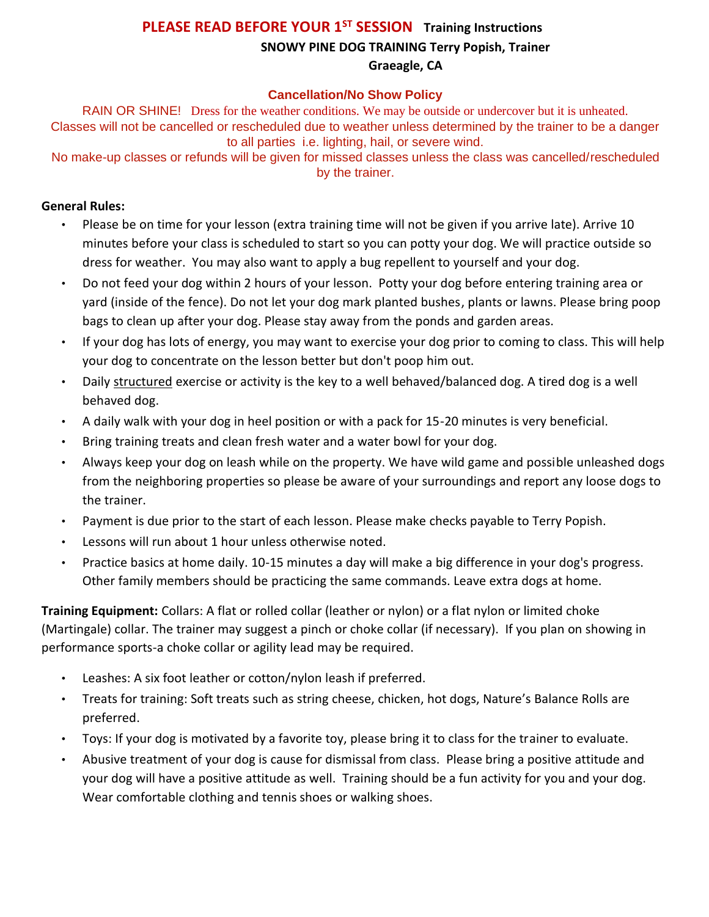### **PLEASE READ BEFORE YOUR 1ST SESSION Training Instructions SNOWY PINE DOG TRAINING Terry Popish, Trainer Graeagle, CA**

#### **Cancellation/No Show Policy**

RAIN OR SHINE! Dress for the weather conditions. We may be outside or undercover but it is unheated. Classes will not be cancelled or rescheduled due to weather unless determined by the trainer to be a danger to all parties i.e. lighting, hail, or severe wind.

No make-up classes or refunds will be given for missed classes unless the class was cancelled/rescheduled by the trainer.

#### **General Rules:**

- Please be on time for your lesson (extra training time will not be given if you arrive late). Arrive 10 minutes before your class is scheduled to start so you can potty your dog. We will practice outside so dress for weather. You may also want to apply a bug repellent to yourself and your dog.
- Do not feed your dog within 2 hours of your lesson. Potty your dog before entering training area or yard (inside of the fence). Do not let your dog mark planted bushes, plants or lawns. Please bring poop bags to clean up after your dog. Please stay away from the ponds and garden areas.
- If your dog has lots of energy, you may want to exercise your dog prior to coming to class. This will help your dog to concentrate on the lesson better but don't poop him out.
- Daily structured exercise or activity is the key to a well behaved/balanced dog. A tired dog is a well behaved dog.
- A daily walk with your dog in heel position or with a pack for 15-20 minutes is very beneficial.
- Bring training treats and clean fresh water and a water bowl for your dog.
- Always keep your dog on leash while on the property. We have wild game and possible unleashed dogs from the neighboring properties so please be aware of your surroundings and report any loose dogs to the trainer.
- Payment is due prior to the start of each lesson. Please make checks payable to Terry Popish.
- Lessons will run about 1 hour unless otherwise noted.
- Practice basics at home daily. 10-15 minutes a day will make a big difference in your dog's progress. Other family members should be practicing the same commands. Leave extra dogs at home.

**Training Equipment:** Collars: A flat or rolled collar (leather or nylon) or a flat nylon or limited choke (Martingale) collar. The trainer may suggest a pinch or choke collar (if necessary). If you plan on showing in performance sports-a choke collar or agility lead may be required.

- Leashes: A six foot leather or cotton/nylon leash if preferred.
- Treats for training: Soft treats such as string cheese, chicken, hot dogs, Nature's Balance Rolls are preferred.
- Toys: If your dog is motivated by a favorite toy, please bring it to class for the trainer to evaluate.
- Abusive treatment of your dog is cause for dismissal from class. Please bring a positive attitude and your dog will have a positive attitude as well. Training should be a fun activity for you and your dog. Wear comfortable clothing and tennis shoes or walking shoes.